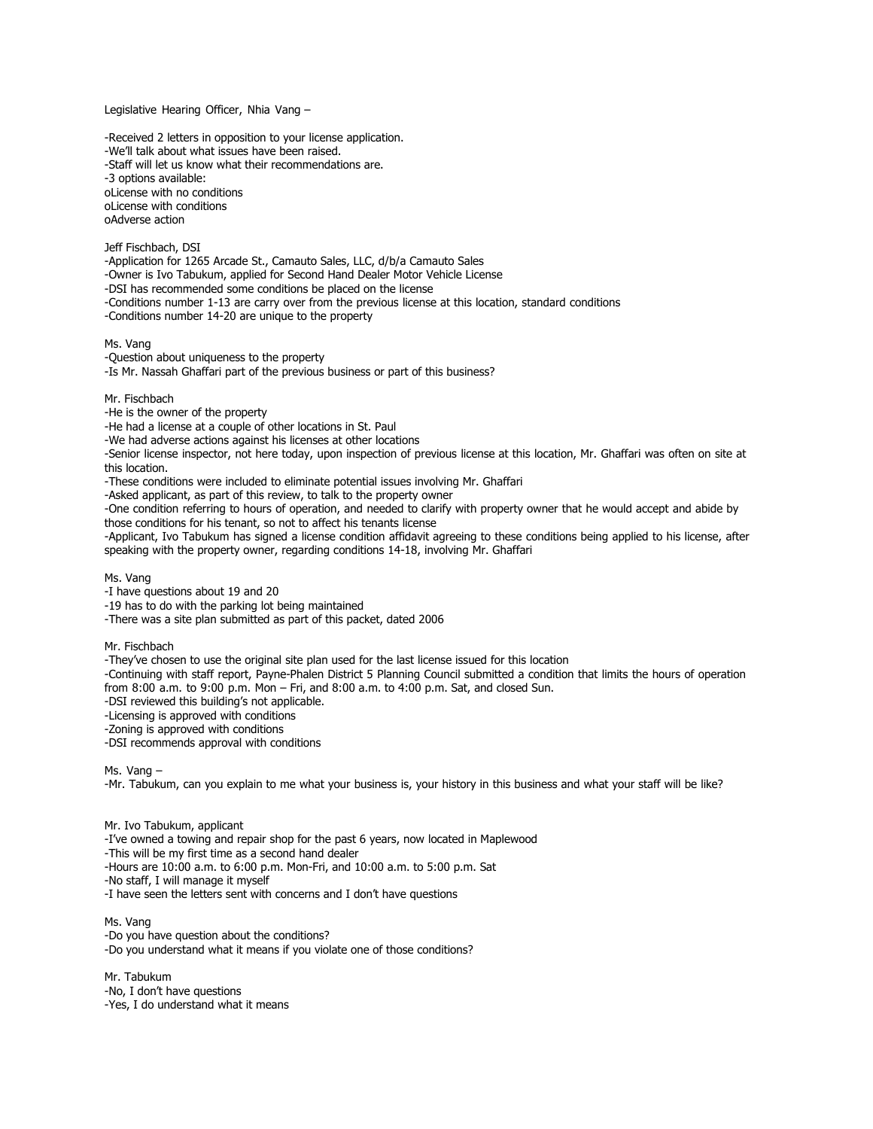Legislative Hearing Officer, Nhia Vang –

-Received 2 letters in opposition to your license application. -We'll talk about what issues have been raised. -Staff will let us know what their recommendations are. -3 options available: oLicense with no conditions oLicense with conditions oAdverse action

Jeff Fischbach, DSI

-Application for 1265 Arcade St., Camauto Sales, LLC, d/b/a Camauto Sales

-Owner is Ivo Tabukum, applied for Second Hand Dealer Motor Vehicle License

-DSI has recommended some conditions be placed on the license

-Conditions number 1-13 are carry over from the previous license at this location, standard conditions

-Conditions number 14-20 are unique to the property

Ms. Vang

-Question about uniqueness to the property

-Is Mr. Nassah Ghaffari part of the previous business or part of this business?

Mr. Fischbach

-He is the owner of the property

-He had a license at a couple of other locations in St. Paul

-We had adverse actions against his licenses at other locations

-Senior license inspector, not here today, upon inspection of previous license at this location, Mr. Ghaffari was often on site at this location.

-These conditions were included to eliminate potential issues involving Mr. Ghaffari

-Asked applicant, as part of this review, to talk to the property owner

-One condition referring to hours of operation, and needed to clarify with property owner that he would accept and abide by those conditions for his tenant, so not to affect his tenants license

-Applicant, Ivo Tabukum has signed a license condition affidavit agreeing to these conditions being applied to his license, after speaking with the property owner, regarding conditions 14-18, involving Mr. Ghaffari

Ms. Vang

-I have questions about 19 and 20

-19 has to do with the parking lot being maintained

-There was a site plan submitted as part of this packet, dated 2006

Mr. Fischbach

-They've chosen to use the original site plan used for the last license issued for this location

-Continuing with staff report, Payne-Phalen District 5 Planning Council submitted a condition that limits the hours of operation from 8:00 a.m. to 9:00 p.m. Mon – Fri, and 8:00 a.m. to 4:00 p.m. Sat, and closed Sun.

-DSI reviewed this building's not applicable.

-Licensing is approved with conditions

-Zoning is approved with conditions

-DSI recommends approval with conditions

Ms. Vang –

-Mr. Tabukum, can you explain to me what your business is, your history in this business and what your staff will be like?

Mr. Ivo Tabukum, applicant

-I've owned a towing and repair shop for the past 6 years, now located in Maplewood

-This will be my first time as a second hand dealer

-Hours are 10:00 a.m. to 6:00 p.m. Mon-Fri, and 10:00 a.m. to 5:00 p.m. Sat

-No staff, I will manage it myself

-I have seen the letters sent with concerns and I don't have questions

Ms. Vang -Do you have question about the conditions? -Do you understand what it means if you violate one of those conditions?

Mr. Tabukum -No, I don't have questions -Yes, I do understand what it means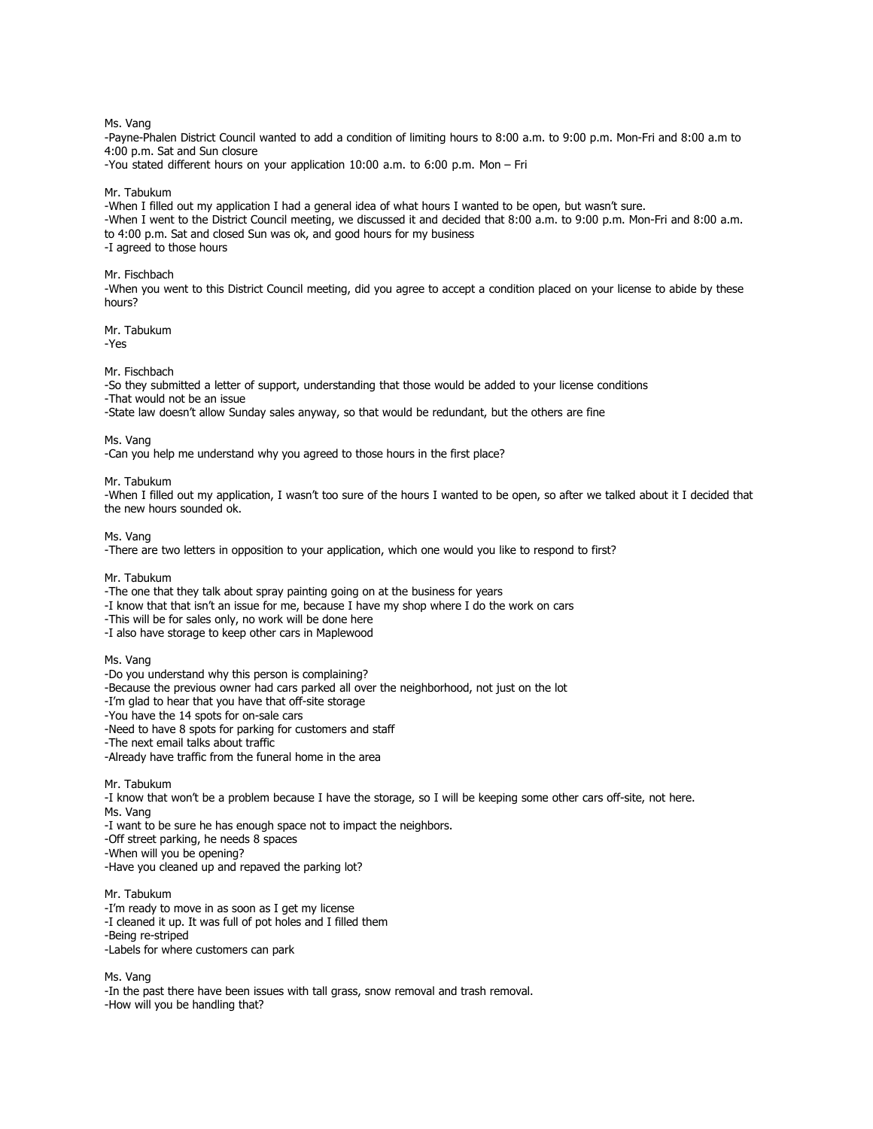## Ms. Vang

-Payne-Phalen District Council wanted to add a condition of limiting hours to 8:00 a.m. to 9:00 p.m. Mon-Fri and 8:00 a.m to 4:00 p.m. Sat and Sun closure

-You stated different hours on your application 10:00 a.m. to 6:00 p.m. Mon – Fri

## Mr. Tabukum

-When I filled out my application I had a general idea of what hours I wanted to be open, but wasn't sure. -When I went to the District Council meeting, we discussed it and decided that 8:00 a.m. to 9:00 p.m. Mon-Fri and 8:00 a.m. to 4:00 p.m. Sat and closed Sun was ok, and good hours for my business -I agreed to those hours

# Mr. Fischbach

-When you went to this District Council meeting, did you agree to accept a condition placed on your license to abide by these hours?

Mr. Tabukum -Yes

## Mr. Fischbach

-So they submitted a letter of support, understanding that those would be added to your license conditions -That would not be an issue

-State law doesn't allow Sunday sales anyway, so that would be redundant, but the others are fine

Ms. Vang

-Can you help me understand why you agreed to those hours in the first place?

## Mr. Tabukum

-When I filled out my application, I wasn't too sure of the hours I wanted to be open, so after we talked about it I decided that the new hours sounded ok.

Ms. Vang

-There are two letters in opposition to your application, which one would you like to respond to first?

Mr. Tabukum

-The one that they talk about spray painting going on at the business for years

- -I know that that isn't an issue for me, because I have my shop where I do the work on cars
- -This will be for sales only, no work will be done here
- -I also have storage to keep other cars in Maplewood

#### Ms. Vang

- -Do you understand why this person is complaining?
- -Because the previous owner had cars parked all over the neighborhood, not just on the lot
- -I'm glad to hear that you have that off-site storage
- -You have the 14 spots for on-sale cars
- -Need to have 8 spots for parking for customers and staff
- -The next email talks about traffic
- -Already have traffic from the funeral home in the area

Mr. Tabukum

-I know that won't be a problem because I have the storage, so I will be keeping some other cars off-site, not here. Ms. Vang

-I want to be sure he has enough space not to impact the neighbors.

-Off street parking, he needs 8 spaces

-When will you be opening?

-Have you cleaned up and repaved the parking lot?

Mr. Tabukum

- -I'm ready to move in as soon as I get my license
- -I cleaned it up. It was full of pot holes and I filled them

-Being re-striped

-Labels for where customers can park

Ms. Vang

-In the past there have been issues with tall grass, snow removal and trash removal.

-How will you be handling that?